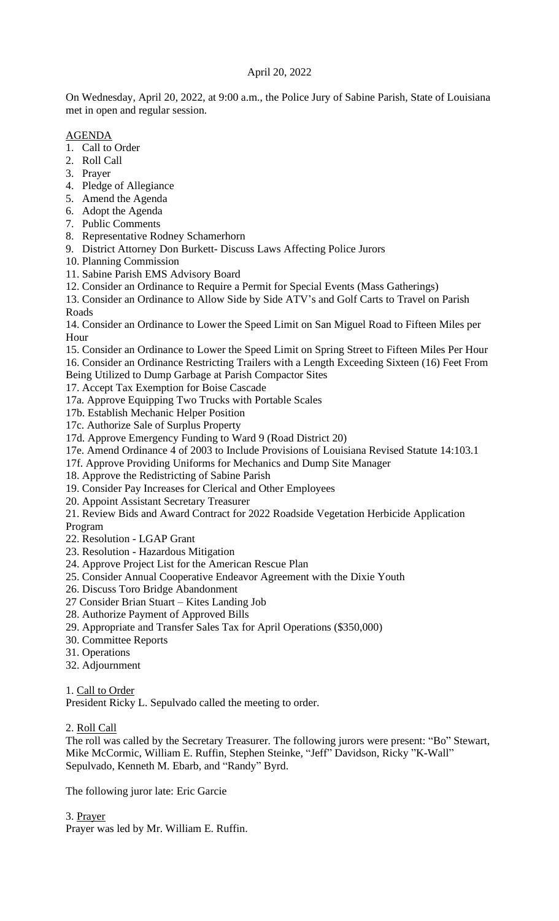## April 20, 2022

On Wednesday, April 20, 2022, at 9:00 a.m., the Police Jury of Sabine Parish, State of Louisiana met in open and regular session.

### AGENDA

- 1. Call to Order
- 2. Roll Call
- 3. Prayer
- 4. Pledge of Allegiance
- 5. Amend the Agenda
- 6. Adopt the Agenda
- 7. Public Comments
- 8. Representative Rodney Schamerhorn
- 9. District Attorney Don Burkett- Discuss Laws Affecting Police Jurors
- 10. Planning Commission
- 11. Sabine Parish EMS Advisory Board
- 12. Consider an Ordinance to Require a Permit for Special Events (Mass Gatherings)

13. Consider an Ordinance to Allow Side by Side ATV's and Golf Carts to Travel on Parish Roads

14. Consider an Ordinance to Lower the Speed Limit on San Miguel Road to Fifteen Miles per Hour

15. Consider an Ordinance to Lower the Speed Limit on Spring Street to Fifteen Miles Per Hour 16. Consider an Ordinance Restricting Trailers with a Length Exceeding Sixteen (16) Feet From

Being Utilized to Dump Garbage at Parish Compactor Sites

17. Accept Tax Exemption for Boise Cascade

17a. Approve Equipping Two Trucks with Portable Scales

- 17b. Establish Mechanic Helper Position
- 17c. Authorize Sale of Surplus Property
- 17d. Approve Emergency Funding to Ward 9 (Road District 20)
- 17e. Amend Ordinance 4 of 2003 to Include Provisions of Louisiana Revised Statute 14:103.1
- 17f. Approve Providing Uniforms for Mechanics and Dump Site Manager
- 18. Approve the Redistricting of Sabine Parish
- 19. Consider Pay Increases for Clerical and Other Employees

20. Appoint Assistant Secretary Treasurer

21. Review Bids and Award Contract for 2022 Roadside Vegetation Herbicide Application Program

- 22. Resolution LGAP Grant
- 23. Resolution Hazardous Mitigation
- 24. Approve Project List for the American Rescue Plan
- 25. Consider Annual Cooperative Endeavor Agreement with the Dixie Youth
- 26. Discuss Toro Bridge Abandonment
- 27 Consider Brian Stuart Kites Landing Job
- 28. Authorize Payment of Approved Bills
- 29. Appropriate and Transfer Sales Tax for April Operations (\$350,000)
- 30. Committee Reports
- 31. Operations
- 32. Adjournment

```
1. Call to Order
```
President Ricky L. Sepulvado called the meeting to order.

2. Roll Call

The roll was called by the Secretary Treasurer. The following jurors were present: "Bo" Stewart, Mike McCormic, William E. Ruffin, Stephen Steinke, "Jeff" Davidson, Ricky "K-Wall" Sepulvado, Kenneth M. Ebarb, and "Randy" Byrd.

The following juror late: Eric Garcie

3. Prayer

Prayer was led by Mr. William E. Ruffin.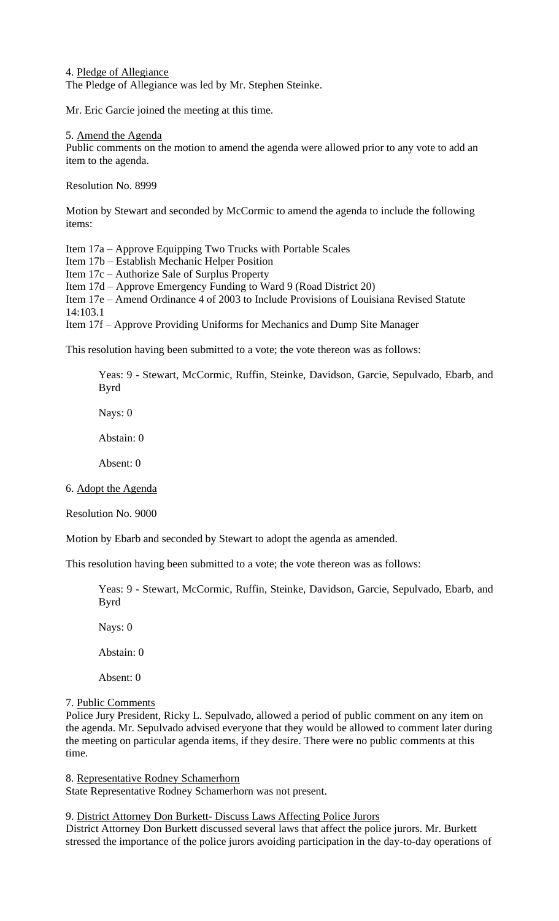4. Pledge of Allegiance The Pledge of Allegiance was led by Mr. Stephen Steinke.

Mr. Eric Garcie joined the meeting at this time.

5. Amend the Agenda

Public comments on the motion to amend the agenda were allowed prior to any vote to add an item to the agenda.

Resolution No. 8999

Motion by Stewart and seconded by McCormic to amend the agenda to include the following items:

Item 17a – Approve Equipping Two Trucks with Portable Scales

Item 17b – Establish Mechanic Helper Position

Item 17c – Authorize Sale of Surplus Property

Item 17d – Approve Emergency Funding to Ward 9 (Road District 20)

Item 17e – Amend Ordinance 4 of 2003 to Include Provisions of Louisiana Revised Statute 14:103.1

Item 17f – Approve Providing Uniforms for Mechanics and Dump Site Manager

This resolution having been submitted to a vote; the vote thereon was as follows:

Yeas: 9 - Stewart, McCormic, Ruffin, Steinke, Davidson, Garcie, Sepulvado, Ebarb, and Byrd

Nays: 0

Abstain: 0

Absent: 0

6. Adopt the Agenda

Resolution No. 9000

Motion by Ebarb and seconded by Stewart to adopt the agenda as amended.

This resolution having been submitted to a vote; the vote thereon was as follows:

Yeas: 9 - Stewart, McCormic, Ruffin, Steinke, Davidson, Garcie, Sepulvado, Ebarb, and Byrd

Nays: 0

Abstain: 0

Absent: 0

#### 7. Public Comments

Police Jury President, Ricky L. Sepulvado, allowed a period of public comment on any item on the agenda. Mr. Sepulvado advised everyone that they would be allowed to comment later during the meeting on particular agenda items, if they desire. There were no public comments at this time.

8. Representative Rodney Schamerhorn

State Representative Rodney Schamerhorn was not present.

9. District Attorney Don Burkett- Discuss Laws Affecting Police Jurors

District Attorney Don Burkett discussed several laws that affect the police jurors. Mr. Burkett stressed the importance of the police jurors avoiding participation in the day-to-day operations of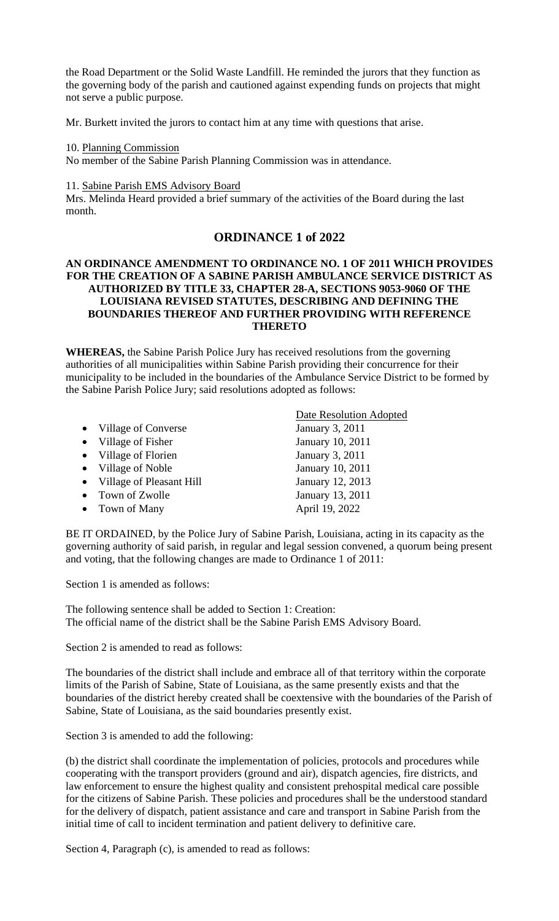the Road Department or the Solid Waste Landfill. He reminded the jurors that they function as the governing body of the parish and cautioned against expending funds on projects that might not serve a public purpose.

Mr. Burkett invited the jurors to contact him at any time with questions that arise.

#### 10. Planning Commission

No member of the Sabine Parish Planning Commission was in attendance.

#### 11. Sabine Parish EMS Advisory Board

Mrs. Melinda Heard provided a brief summary of the activities of the Board during the last month.

# **ORDINANCE 1 of 2022**

#### **AN ORDINANCE AMENDMENT TO ORDINANCE NO. 1 OF 2011 WHICH PROVIDES FOR THE CREATION OF A SABINE PARISH AMBULANCE SERVICE DISTRICT AS AUTHORIZED BY TITLE 33, CHAPTER 28-A, SECTIONS 9053-9060 OF THE LOUISIANA REVISED STATUTES, DESCRIBING AND DEFINING THE BOUNDARIES THEREOF AND FURTHER PROVIDING WITH REFERENCE THERETO**

**WHEREAS,** the Sabine Parish Police Jury has received resolutions from the governing authorities of all municipalities within Sabine Parish providing their concurrence for their municipality to be included in the boundaries of the Ambulance Service District to be formed by the Sabine Parish Police Jury; said resolutions adopted as follows:

|                            | Date Resolution Adopted |
|----------------------------|-------------------------|
| • Village of Converse      | January 3, 2011         |
| • Village of Fisher        | January 10, 2011        |
| • Village of Florien       | January 3, 2011         |
| • Village of Noble         | January 10, 2011        |
| • Village of Pleasant Hill | January 12, 2013        |
| Town of Zwolle             | January 13, 2011        |
| Town of Many               | April 19, 2022          |
|                            |                         |

BE IT ORDAINED, by the Police Jury of Sabine Parish, Louisiana, acting in its capacity as the governing authority of said parish, in regular and legal session convened, a quorum being present and voting, that the following changes are made to Ordinance 1 of 2011:

Section 1 is amended as follows:

The following sentence shall be added to Section 1: Creation: The official name of the district shall be the Sabine Parish EMS Advisory Board.

Section 2 is amended to read as follows:

The boundaries of the district shall include and embrace all of that territory within the corporate limits of the Parish of Sabine, State of Louisiana, as the same presently exists and that the boundaries of the district hereby created shall be coextensive with the boundaries of the Parish of Sabine, State of Louisiana, as the said boundaries presently exist.

Section 3 is amended to add the following:

(b) the district shall coordinate the implementation of policies, protocols and procedures while cooperating with the transport providers (ground and air), dispatch agencies, fire districts, and law enforcement to ensure the highest quality and consistent prehospital medical care possible for the citizens of Sabine Parish. These policies and procedures shall be the understood standard for the delivery of dispatch, patient assistance and care and transport in Sabine Parish from the initial time of call to incident termination and patient delivery to definitive care.

Section 4, Paragraph (c), is amended to read as follows: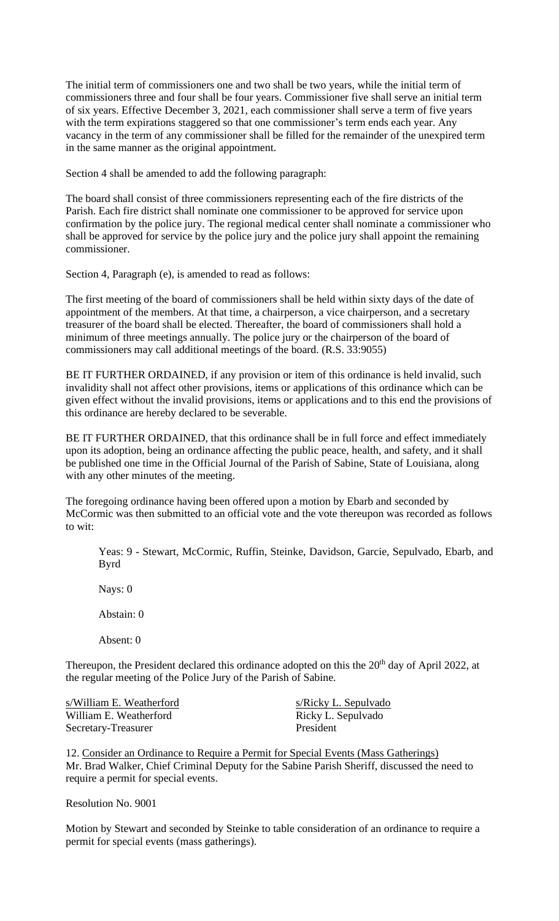The initial term of commissioners one and two shall be two years, while the initial term of commissioners three and four shall be four years. Commissioner five shall serve an initial term of six years. Effective December 3, 2021, each commissioner shall serve a term of five years with the term expirations staggered so that one commissioner's term ends each year. Any vacancy in the term of any commissioner shall be filled for the remainder of the unexpired term in the same manner as the original appointment.

Section 4 shall be amended to add the following paragraph:

The board shall consist of three commissioners representing each of the fire districts of the Parish. Each fire district shall nominate one commissioner to be approved for service upon confirmation by the police jury. The regional medical center shall nominate a commissioner who shall be approved for service by the police jury and the police jury shall appoint the remaining commissioner.

Section 4, Paragraph (e), is amended to read as follows:

The first meeting of the board of commissioners shall be held within sixty days of the date of appointment of the members. At that time, a chairperson, a vice chairperson, and a secretary treasurer of the board shall be elected. Thereafter, the board of commissioners shall hold a minimum of three meetings annually. The police jury or the chairperson of the board of commissioners may call additional meetings of the board. (R.S. 33:9055)

BE IT FURTHER ORDAINED, if any provision or item of this ordinance is held invalid, such invalidity shall not affect other provisions, items or applications of this ordinance which can be given effect without the invalid provisions, items or applications and to this end the provisions of this ordinance are hereby declared to be severable.

BE IT FURTHER ORDAINED, that this ordinance shall be in full force and effect immediately upon its adoption, being an ordinance affecting the public peace, health, and safety, and it shall be published one time in the Official Journal of the Parish of Sabine, State of Louisiana, along with any other minutes of the meeting.

The foregoing ordinance having been offered upon a motion by Ebarb and seconded by McCormic was then submitted to an official vote and the vote thereupon was recorded as follows to wit:

Yeas: 9 - Stewart, McCormic, Ruffin, Steinke, Davidson, Garcie, Sepulvado, Ebarb, and Byrd

Nays: 0

Abstain: 0

Absent: 0

Thereupon, the President declared this ordinance adopted on this the 20<sup>th</sup> day of April 2022, at the regular meeting of the Police Jury of the Parish of Sabine.

s/William E. Weatherford s/Ricky L. Sepulvado William E. Weatherford Ricky L. Sepulvado Secretary-Treasurer President

12. Consider an Ordinance to Require a Permit for Special Events (Mass Gatherings) Mr. Brad Walker, Chief Criminal Deputy for the Sabine Parish Sheriff, discussed the need to require a permit for special events.

Resolution No. 9001

Motion by Stewart and seconded by Steinke to table consideration of an ordinance to require a permit for special events (mass gatherings).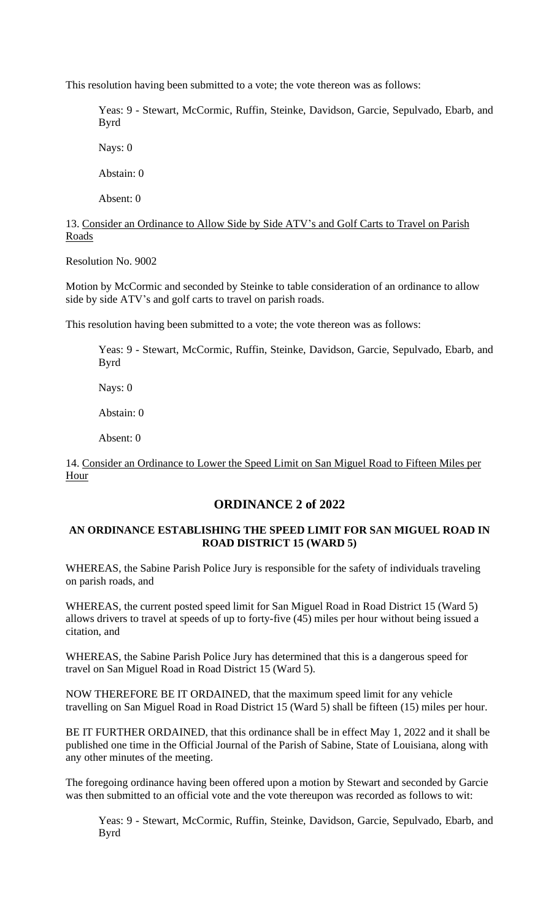This resolution having been submitted to a vote; the vote thereon was as follows:

Yeas: 9 - Stewart, McCormic, Ruffin, Steinke, Davidson, Garcie, Sepulvado, Ebarb, and Byrd

Nays: 0

Abstain: 0

Absent: 0

## 13. Consider an Ordinance to Allow Side by Side ATV's and Golf Carts to Travel on Parish Roads

Resolution No. 9002

Motion by McCormic and seconded by Steinke to table consideration of an ordinance to allow side by side ATV's and golf carts to travel on parish roads.

This resolution having been submitted to a vote; the vote thereon was as follows:

Yeas: 9 - Stewart, McCormic, Ruffin, Steinke, Davidson, Garcie, Sepulvado, Ebarb, and Byrd

Nays: 0

Abstain: 0

Absent: 0

14. Consider an Ordinance to Lower the Speed Limit on San Miguel Road to Fifteen Miles per Hour

# **ORDINANCE 2 of 2022**

### **AN ORDINANCE ESTABLISHING THE SPEED LIMIT FOR SAN MIGUEL ROAD IN ROAD DISTRICT 15 (WARD 5)**

WHEREAS, the Sabine Parish Police Jury is responsible for the safety of individuals traveling on parish roads, and

WHEREAS, the current posted speed limit for San Miguel Road in Road District 15 (Ward 5) allows drivers to travel at speeds of up to forty-five (45) miles per hour without being issued a citation, and

WHEREAS, the Sabine Parish Police Jury has determined that this is a dangerous speed for travel on San Miguel Road in Road District 15 (Ward 5).

NOW THEREFORE BE IT ORDAINED, that the maximum speed limit for any vehicle travelling on San Miguel Road in Road District 15 (Ward 5) shall be fifteen (15) miles per hour.

BE IT FURTHER ORDAINED, that this ordinance shall be in effect May 1, 2022 and it shall be published one time in the Official Journal of the Parish of Sabine, State of Louisiana, along with any other minutes of the meeting.

The foregoing ordinance having been offered upon a motion by Stewart and seconded by Garcie was then submitted to an official vote and the vote thereupon was recorded as follows to wit:

Yeas: 9 - Stewart, McCormic, Ruffin, Steinke, Davidson, Garcie, Sepulvado, Ebarb, and Byrd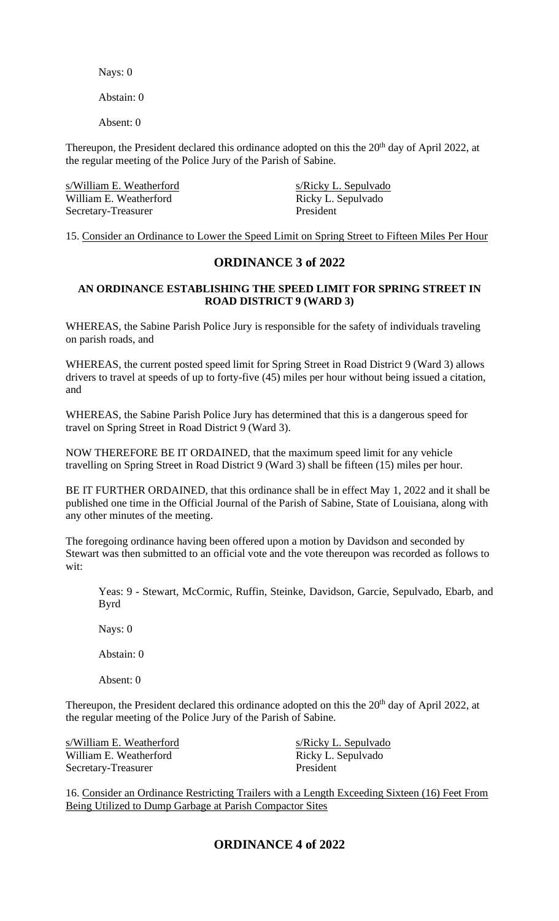Nays: 0

Abstain: 0

Absent: 0

Thereupon, the President declared this ordinance adopted on this the 20<sup>th</sup> day of April 2022, at the regular meeting of the Police Jury of the Parish of Sabine.

| s/William E. Weatherford | s/Ricky L. Sepulvado |
|--------------------------|----------------------|
| William E. Weatherford   | Ricky L. Sepulvado   |
| Secretary-Treasurer      | President            |

15. Consider an Ordinance to Lower the Speed Limit on Spring Street to Fifteen Miles Per Hour

# **ORDINANCE 3 of 2022**

### **AN ORDINANCE ESTABLISHING THE SPEED LIMIT FOR SPRING STREET IN ROAD DISTRICT 9 (WARD 3)**

WHEREAS, the Sabine Parish Police Jury is responsible for the safety of individuals traveling on parish roads, and

WHEREAS, the current posted speed limit for Spring Street in Road District 9 (Ward 3) allows drivers to travel at speeds of up to forty-five (45) miles per hour without being issued a citation, and

WHEREAS, the Sabine Parish Police Jury has determined that this is a dangerous speed for travel on Spring Street in Road District 9 (Ward 3).

NOW THEREFORE BE IT ORDAINED, that the maximum speed limit for any vehicle travelling on Spring Street in Road District 9 (Ward 3) shall be fifteen (15) miles per hour.

BE IT FURTHER ORDAINED, that this ordinance shall be in effect May 1, 2022 and it shall be published one time in the Official Journal of the Parish of Sabine, State of Louisiana, along with any other minutes of the meeting.

The foregoing ordinance having been offered upon a motion by Davidson and seconded by Stewart was then submitted to an official vote and the vote thereupon was recorded as follows to wit:

Yeas: 9 - Stewart, McCormic, Ruffin, Steinke, Davidson, Garcie, Sepulvado, Ebarb, and Byrd

Nays: 0

Abstain: 0

Absent: 0

Thereupon, the President declared this ordinance adopted on this the 20<sup>th</sup> day of April 2022, at the regular meeting of the Police Jury of the Parish of Sabine.

s/William E. Weatherford s/Ricky L. Sepulvado William E. Weatherford Ricky L. Sepulvado Secretary-Treasurer President

16. Consider an Ordinance Restricting Trailers with a Length Exceeding Sixteen (16) Feet From Being Utilized to Dump Garbage at Parish Compactor Sites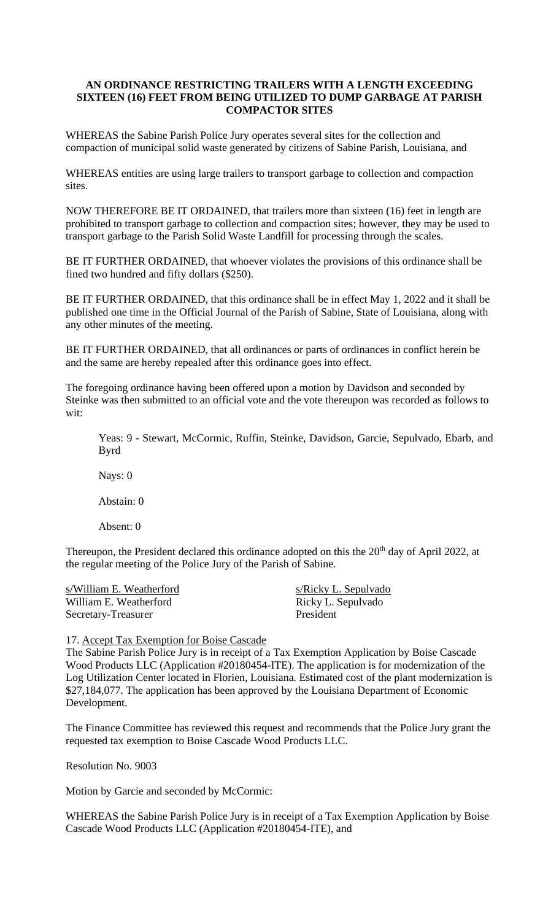### **AN ORDINANCE RESTRICTING TRAILERS WITH A LENGTH EXCEEDING SIXTEEN (16) FEET FROM BEING UTILIZED TO DUMP GARBAGE AT PARISH COMPACTOR SITES**

WHEREAS the Sabine Parish Police Jury operates several sites for the collection and compaction of municipal solid waste generated by citizens of Sabine Parish, Louisiana, and

WHEREAS entities are using large trailers to transport garbage to collection and compaction sites.

NOW THEREFORE BE IT ORDAINED, that trailers more than sixteen (16) feet in length are prohibited to transport garbage to collection and compaction sites; however, they may be used to transport garbage to the Parish Solid Waste Landfill for processing through the scales.

BE IT FURTHER ORDAINED, that whoever violates the provisions of this ordinance shall be fined two hundred and fifty dollars (\$250).

BE IT FURTHER ORDAINED, that this ordinance shall be in effect May 1, 2022 and it shall be published one time in the Official Journal of the Parish of Sabine, State of Louisiana, along with any other minutes of the meeting.

BE IT FURTHER ORDAINED, that all ordinances or parts of ordinances in conflict herein be and the same are hereby repealed after this ordinance goes into effect.

The foregoing ordinance having been offered upon a motion by Davidson and seconded by Steinke was then submitted to an official vote and the vote thereupon was recorded as follows to wit:

Yeas: 9 - Stewart, McCormic, Ruffin, Steinke, Davidson, Garcie, Sepulvado, Ebarb, and Byrd

Nays: 0

Abstain: 0

Absent: 0

Thereupon, the President declared this ordinance adopted on this the 20<sup>th</sup> day of April 2022, at the regular meeting of the Police Jury of the Parish of Sabine.

s/William E. Weatherford s/Ricky L. Sepulvado William E. Weatherford Ricky L. Sepulvado Secretary-Treasurer President

17. Accept Tax Exemption for Boise Cascade

The Sabine Parish Police Jury is in receipt of a Tax Exemption Application by Boise Cascade Wood Products LLC (Application #20180454-ITE). The application is for modernization of the Log Utilization Center located in Florien, Louisiana. Estimated cost of the plant modernization is \$27,184,077. The application has been approved by the Louisiana Department of Economic Development.

The Finance Committee has reviewed this request and recommends that the Police Jury grant the requested tax exemption to Boise Cascade Wood Products LLC.

Resolution No. 9003

Motion by Garcie and seconded by McCormic:

WHEREAS the Sabine Parish Police Jury is in receipt of a Tax Exemption Application by Boise Cascade Wood Products LLC (Application #20180454-ITE), and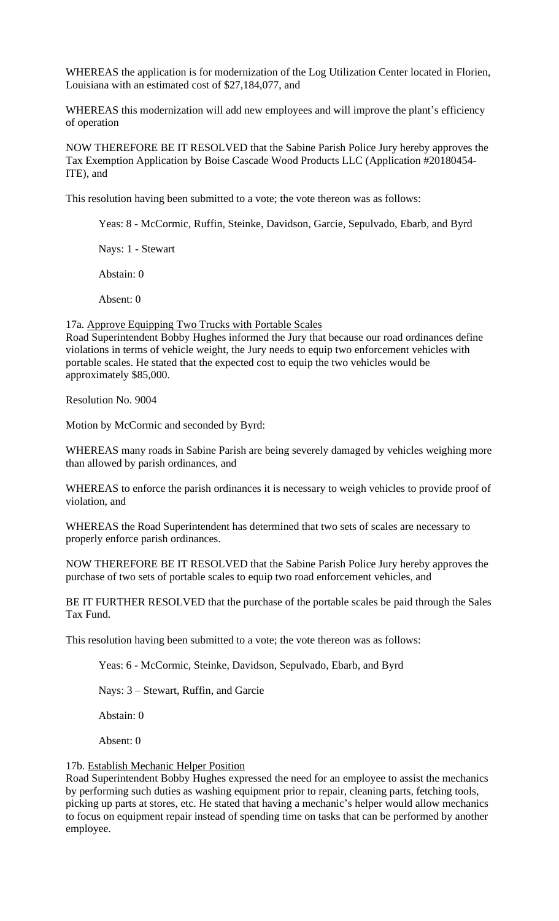WHEREAS the application is for modernization of the Log Utilization Center located in Florien, Louisiana with an estimated cost of \$27,184,077, and

WHEREAS this modernization will add new employees and will improve the plant's efficiency of operation

NOW THEREFORE BE IT RESOLVED that the Sabine Parish Police Jury hereby approves the Tax Exemption Application by Boise Cascade Wood Products LLC (Application #20180454- ITE), and

This resolution having been submitted to a vote; the vote thereon was as follows:

Yeas: 8 - McCormic, Ruffin, Steinke, Davidson, Garcie, Sepulvado, Ebarb, and Byrd

Nays: 1 - Stewart

Abstain: 0

Absent: 0

17a. Approve Equipping Two Trucks with Portable Scales Road Superintendent Bobby Hughes informed the Jury that because our road ordinances define violations in terms of vehicle weight, the Jury needs to equip two enforcement vehicles with portable scales. He stated that the expected cost to equip the two vehicles would be approximately \$85,000.

Resolution No. 9004

Motion by McCormic and seconded by Byrd:

WHEREAS many roads in Sabine Parish are being severely damaged by vehicles weighing more than allowed by parish ordinances, and

WHEREAS to enforce the parish ordinances it is necessary to weigh vehicles to provide proof of violation, and

WHEREAS the Road Superintendent has determined that two sets of scales are necessary to properly enforce parish ordinances.

NOW THEREFORE BE IT RESOLVED that the Sabine Parish Police Jury hereby approves the purchase of two sets of portable scales to equip two road enforcement vehicles, and

BE IT FURTHER RESOLVED that the purchase of the portable scales be paid through the Sales Tax Fund.

This resolution having been submitted to a vote; the vote thereon was as follows:

Yeas: 6 - McCormic, Steinke, Davidson, Sepulvado, Ebarb, and Byrd

Nays: 3 – Stewart, Ruffin, and Garcie

Abstain: 0

Absent: 0

#### 17b. Establish Mechanic Helper Position

Road Superintendent Bobby Hughes expressed the need for an employee to assist the mechanics by performing such duties as washing equipment prior to repair, cleaning parts, fetching tools, picking up parts at stores, etc. He stated that having a mechanic's helper would allow mechanics to focus on equipment repair instead of spending time on tasks that can be performed by another employee.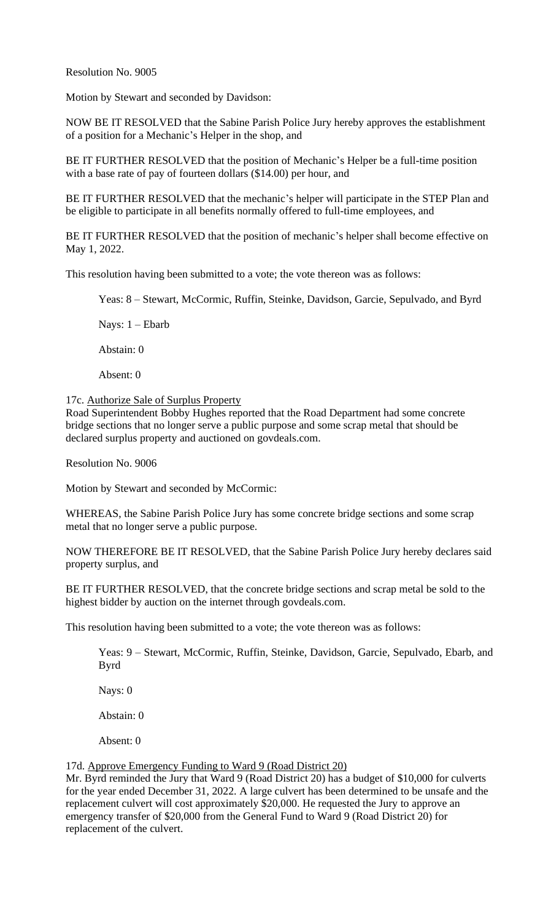Resolution No. 9005

Motion by Stewart and seconded by Davidson:

NOW BE IT RESOLVED that the Sabine Parish Police Jury hereby approves the establishment of a position for a Mechanic's Helper in the shop, and

BE IT FURTHER RESOLVED that the position of Mechanic's Helper be a full-time position with a base rate of pay of fourteen dollars (\$14.00) per hour, and

BE IT FURTHER RESOLVED that the mechanic's helper will participate in the STEP Plan and be eligible to participate in all benefits normally offered to full-time employees, and

BE IT FURTHER RESOLVED that the position of mechanic's helper shall become effective on May 1, 2022.

This resolution having been submitted to a vote; the vote thereon was as follows:

Yeas: 8 – Stewart, McCormic, Ruffin, Steinke, Davidson, Garcie, Sepulvado, and Byrd

Nays: 1 – Ebarb

Abstain: 0

Absent: 0

17c. Authorize Sale of Surplus Property

Road Superintendent Bobby Hughes reported that the Road Department had some concrete bridge sections that no longer serve a public purpose and some scrap metal that should be declared surplus property and auctioned on govdeals.com.

Resolution No. 9006

Motion by Stewart and seconded by McCormic:

WHEREAS, the Sabine Parish Police Jury has some concrete bridge sections and some scrap metal that no longer serve a public purpose.

NOW THEREFORE BE IT RESOLVED, that the Sabine Parish Police Jury hereby declares said property surplus, and

BE IT FURTHER RESOLVED, that the concrete bridge sections and scrap metal be sold to the highest bidder by auction on the internet through govdeals.com.

This resolution having been submitted to a vote; the vote thereon was as follows:

Yeas: 9 – Stewart, McCormic, Ruffin, Steinke, Davidson, Garcie, Sepulvado, Ebarb, and Byrd

Nays: 0

Abstain: 0

Absent: 0

17d. Approve Emergency Funding to Ward 9 (Road District 20)

Mr. Byrd reminded the Jury that Ward 9 (Road District 20) has a budget of \$10,000 for culverts for the year ended December 31, 2022. A large culvert has been determined to be unsafe and the replacement culvert will cost approximately \$20,000. He requested the Jury to approve an emergency transfer of \$20,000 from the General Fund to Ward 9 (Road District 20) for replacement of the culvert.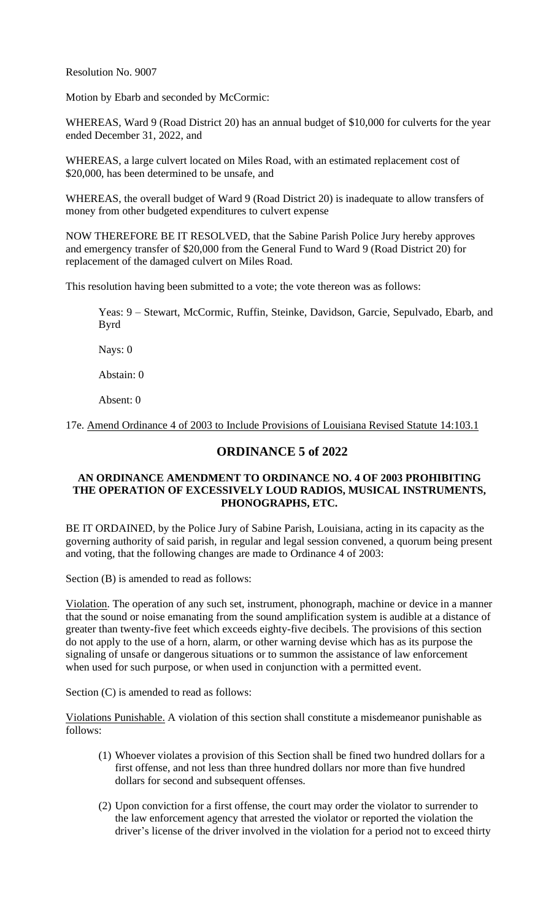Resolution No. 9007

Motion by Ebarb and seconded by McCormic:

WHEREAS, Ward 9 (Road District 20) has an annual budget of \$10,000 for culverts for the year ended December 31, 2022, and

WHEREAS, a large culvert located on Miles Road, with an estimated replacement cost of \$20,000, has been determined to be unsafe, and

WHEREAS, the overall budget of Ward 9 (Road District 20) is inadequate to allow transfers of money from other budgeted expenditures to culvert expense

NOW THEREFORE BE IT RESOLVED, that the Sabine Parish Police Jury hereby approves and emergency transfer of \$20,000 from the General Fund to Ward 9 (Road District 20) for replacement of the damaged culvert on Miles Road.

This resolution having been submitted to a vote; the vote thereon was as follows:

Yeas: 9 – Stewart, McCormic, Ruffin, Steinke, Davidson, Garcie, Sepulvado, Ebarb, and Byrd

Nays: 0

Abstain: 0

Absent: 0

17e. Amend Ordinance 4 of 2003 to Include Provisions of Louisiana Revised Statute 14:103.1

## **ORDINANCE 5 of 2022**

### **AN ORDINANCE AMENDMENT TO ORDINANCE NO. 4 OF 2003 PROHIBITING THE OPERATION OF EXCESSIVELY LOUD RADIOS, MUSICAL INSTRUMENTS, PHONOGRAPHS, ETC.**

BE IT ORDAINED, by the Police Jury of Sabine Parish, Louisiana, acting in its capacity as the governing authority of said parish, in regular and legal session convened, a quorum being present and voting, that the following changes are made to Ordinance 4 of 2003:

Section (B) is amended to read as follows:

Violation. The operation of any such set, instrument, phonograph, machine or device in a manner that the sound or noise emanating from the sound amplification system is audible at a distance of greater than twenty-five feet which exceeds eighty-five decibels. The provisions of this section do not apply to the use of a horn, alarm, or other warning devise which has as its purpose the signaling of unsafe or dangerous situations or to summon the assistance of law enforcement when used for such purpose, or when used in conjunction with a permitted event.

Section (C) is amended to read as follows:

Violations Punishable. A violation of this section shall constitute a misdemeanor punishable as follows:

- (1) Whoever violates a provision of this Section shall be fined two hundred dollars for a first offense, and not less than three hundred dollars nor more than five hundred dollars for second and subsequent offenses.
- (2) Upon conviction for a first offense, the court may order the violator to surrender to the law enforcement agency that arrested the violator or reported the violation the driver's license of the driver involved in the violation for a period not to exceed thirty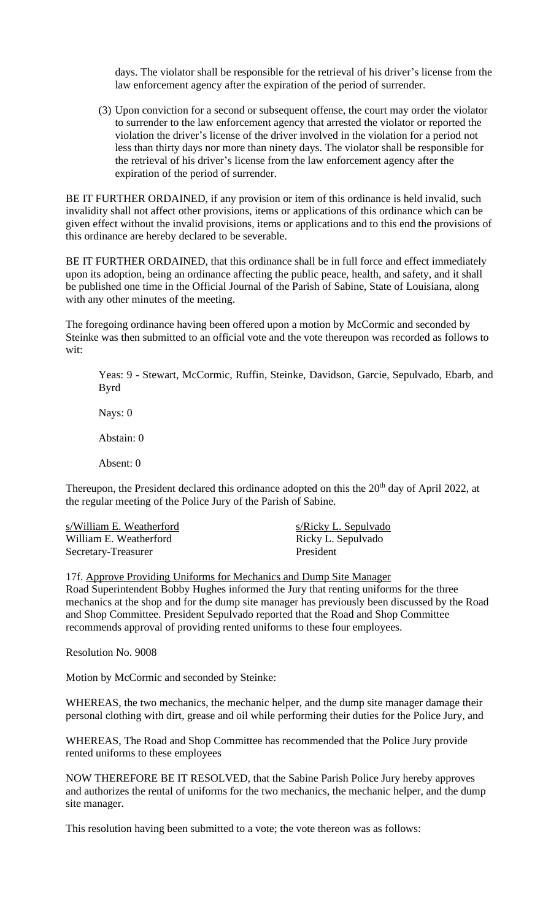days. The violator shall be responsible for the retrieval of his driver's license from the law enforcement agency after the expiration of the period of surrender.

(3) Upon conviction for a second or subsequent offense, the court may order the violator to surrender to the law enforcement agency that arrested the violator or reported the violation the driver's license of the driver involved in the violation for a period not less than thirty days nor more than ninety days. The violator shall be responsible for the retrieval of his driver's license from the law enforcement agency after the expiration of the period of surrender.

BE IT FURTHER ORDAINED, if any provision or item of this ordinance is held invalid, such invalidity shall not affect other provisions, items or applications of this ordinance which can be given effect without the invalid provisions, items or applications and to this end the provisions of this ordinance are hereby declared to be severable.

BE IT FURTHER ORDAINED, that this ordinance shall be in full force and effect immediately upon its adoption, being an ordinance affecting the public peace, health, and safety, and it shall be published one time in the Official Journal of the Parish of Sabine, State of Louisiana, along with any other minutes of the meeting.

The foregoing ordinance having been offered upon a motion by McCormic and seconded by Steinke was then submitted to an official vote and the vote thereupon was recorded as follows to wit:

Yeas: 9 - Stewart, McCormic, Ruffin, Steinke, Davidson, Garcie, Sepulvado, Ebarb, and Byrd

Nays: 0

Abstain: 0

Absent: 0

Thereupon, the President declared this ordinance adopted on this the 20<sup>th</sup> day of April 2022, at the regular meeting of the Police Jury of the Parish of Sabine.

s/William E. Weatherford s/Ricky L. Sepulvado William E. Weatherford Ricky L. Sepulvado Secretary-Treasurer President

#### 17f. Approve Providing Uniforms for Mechanics and Dump Site Manager

Road Superintendent Bobby Hughes informed the Jury that renting uniforms for the three mechanics at the shop and for the dump site manager has previously been discussed by the Road and Shop Committee. President Sepulvado reported that the Road and Shop Committee recommends approval of providing rented uniforms to these four employees.

Resolution No. 9008

Motion by McCormic and seconded by Steinke:

WHEREAS, the two mechanics, the mechanic helper, and the dump site manager damage their personal clothing with dirt, grease and oil while performing their duties for the Police Jury, and

WHEREAS, The Road and Shop Committee has recommended that the Police Jury provide rented uniforms to these employees

NOW THEREFORE BE IT RESOLVED, that the Sabine Parish Police Jury hereby approves and authorizes the rental of uniforms for the two mechanics, the mechanic helper, and the dump site manager.

This resolution having been submitted to a vote; the vote thereon was as follows: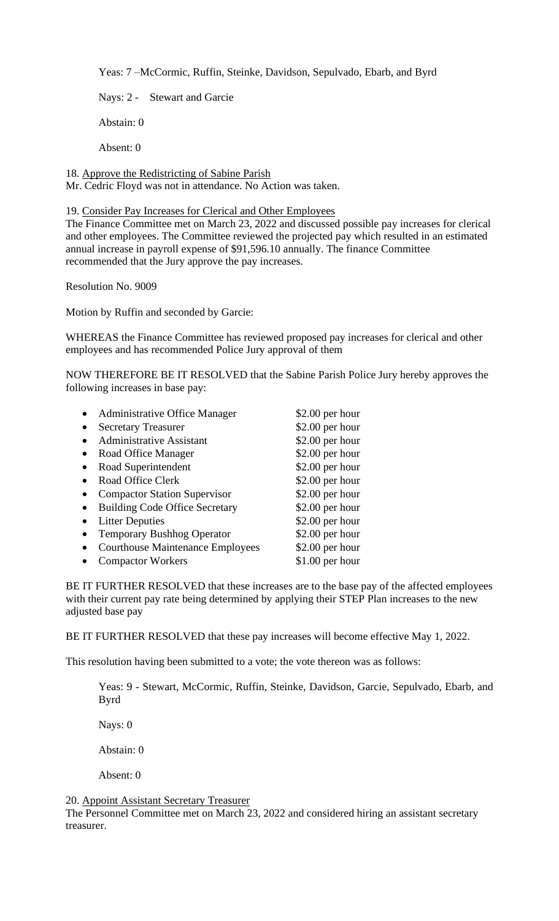Yeas: 7 –McCormic, Ruffin, Steinke, Davidson, Sepulvado, Ebarb, and Byrd

Nays: 2 - Stewart and Garcie

Abstain: 0

Absent: 0

18. Approve the Redistricting of Sabine Parish

Mr. Cedric Floyd was not in attendance. No Action was taken.

19. Consider Pay Increases for Clerical and Other Employees

The Finance Committee met on March 23, 2022 and discussed possible pay increases for clerical and other employees. The Committee reviewed the projected pay which resulted in an estimated annual increase in payroll expense of \$91,596.10 annually. The finance Committee recommended that the Jury approve the pay increases.

Resolution No. 9009

Motion by Ruffin and seconded by Garcie:

WHEREAS the Finance Committee has reviewed proposed pay increases for clerical and other employees and has recommended Police Jury approval of them

NOW THEREFORE BE IT RESOLVED that the Sabine Parish Police Jury hereby approves the following increases in base pay:

|           | <b>Administrative Office Manager</b>    | $$2.00$ per hour |
|-----------|-----------------------------------------|------------------|
|           | <b>Secretary Treasurer</b>              | $$2.00$ per hour |
|           | <b>Administrative Assistant</b>         | \$2.00 per hour  |
| $\bullet$ | Road Office Manager                     | \$2.00 per hour  |
|           | Road Superintendent                     | $$2.00$ per hour |
|           | Road Office Clerk                       | $$2.00$ per hour |
|           | <b>Compactor Station Supervisor</b>     | \$2.00 per hour  |
|           | <b>Building Code Office Secretary</b>   | \$2.00 per hour  |
|           | <b>Litter Deputies</b>                  | \$2.00 per hour  |
|           | <b>Temporary Bushhog Operator</b>       | $$2.00$ per hour |
|           | <b>Courthouse Maintenance Employees</b> | $$2.00$ per hour |
|           | <b>Compactor Workers</b>                | $$1.00$ per hour |

BE IT FURTHER RESOLVED that these increases are to the base pay of the affected employees with their current pay rate being determined by applying their STEP Plan increases to the new adjusted base pay

BE IT FURTHER RESOLVED that these pay increases will become effective May 1, 2022.

This resolution having been submitted to a vote; the vote thereon was as follows:

Yeas: 9 - Stewart, McCormic, Ruffin, Steinke, Davidson, Garcie, Sepulvado, Ebarb, and Byrd

Nays: 0

Abstain: 0

Absent: 0

### 20. Appoint Assistant Secretary Treasurer

The Personnel Committee met on March 23, 2022 and considered hiring an assistant secretary treasurer.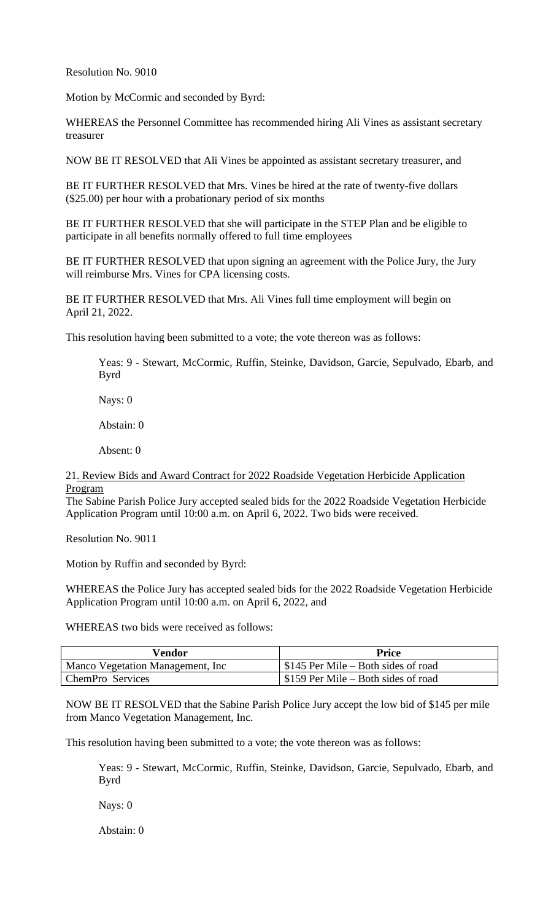Resolution No. 9010

Motion by McCormic and seconded by Byrd:

WHEREAS the Personnel Committee has recommended hiring Ali Vines as assistant secretary treasurer

NOW BE IT RESOLVED that Ali Vines be appointed as assistant secretary treasurer, and

BE IT FURTHER RESOLVED that Mrs. Vines be hired at the rate of twenty-five dollars (\$25.00) per hour with a probationary period of six months

BE IT FURTHER RESOLVED that she will participate in the STEP Plan and be eligible to participate in all benefits normally offered to full time employees

BE IT FURTHER RESOLVED that upon signing an agreement with the Police Jury, the Jury will reimburse Mrs. Vines for CPA licensing costs.

BE IT FURTHER RESOLVED that Mrs. Ali Vines full time employment will begin on April 21, 2022.

This resolution having been submitted to a vote; the vote thereon was as follows:

Yeas: 9 - Stewart, McCormic, Ruffin, Steinke, Davidson, Garcie, Sepulvado, Ebarb, and Byrd

Nays: 0

Abstain: 0

Absent: 0

21. Review Bids and Award Contract for 2022 Roadside Vegetation Herbicide Application Program

The Sabine Parish Police Jury accepted sealed bids for the 2022 Roadside Vegetation Herbicide Application Program until 10:00 a.m. on April 6, 2022. Two bids were received.

Resolution No. 9011

Motion by Ruffin and seconded by Byrd:

WHEREAS the Police Jury has accepted sealed bids for the 2022 Roadside Vegetation Herbicide Application Program until 10:00 a.m. on April 6, 2022, and

WHEREAS two bids were received as follows:

| Vendor                                   | Price                                             |
|------------------------------------------|---------------------------------------------------|
| <b>Manco Vegetation Management, Inc.</b> | $\frac{1}{2}$ \$145 Per Mile – Both sides of road |
| ChemPro Services                         | \$159 Per Mile – Both sides of road               |

NOW BE IT RESOLVED that the Sabine Parish Police Jury accept the low bid of \$145 per mile from Manco Vegetation Management, Inc.

This resolution having been submitted to a vote; the vote thereon was as follows:

Yeas: 9 - Stewart, McCormic, Ruffin, Steinke, Davidson, Garcie, Sepulvado, Ebarb, and Byrd

Nays: 0

Abstain: 0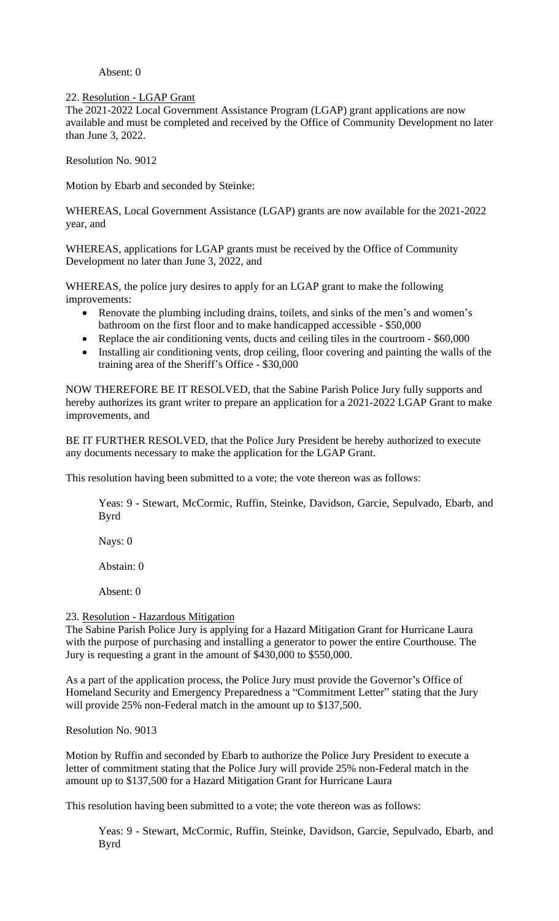### Absent: 0

### 22. Resolution - LGAP Grant

The 2021-2022 Local Government Assistance Program (LGAP) grant applications are now available and must be completed and received by the Office of Community Development no later than June 3, 2022.

Resolution No. 9012

Motion by Ebarb and seconded by Steinke:

WHEREAS, Local Government Assistance (LGAP) grants are now available for the 2021-2022 year, and

WHEREAS, applications for LGAP grants must be received by the Office of Community Development no later than June 3, 2022, and

WHEREAS, the police jury desires to apply for an LGAP grant to make the following improvements:

- Renovate the plumbing including drains, toilets, and sinks of the men's and women's bathroom on the first floor and to make handicapped accessible - \$50,000
- Replace the air conditioning vents, ducts and ceiling tiles in the courtroom \$60,000
- Installing air conditioning vents, drop ceiling, floor covering and painting the walls of the training area of the Sheriff's Office - \$30,000

NOW THEREFORE BE IT RESOLVED, that the Sabine Parish Police Jury fully supports and hereby authorizes its grant writer to prepare an application for a 2021-2022 LGAP Grant to make improvements, and

BE IT FURTHER RESOLVED, that the Police Jury President be hereby authorized to execute any documents necessary to make the application for the LGAP Grant.

This resolution having been submitted to a vote; the vote thereon was as follows:

Yeas: 9 - Stewart, McCormic, Ruffin, Steinke, Davidson, Garcie, Sepulvado, Ebarb, and Byrd

Nays: 0

Abstain: 0

Absent: 0

### 23. Resolution - Hazardous Mitigation

The Sabine Parish Police Jury is applying for a Hazard Mitigation Grant for Hurricane Laura with the purpose of purchasing and installing a generator to power the entire Courthouse. The Jury is requesting a grant in the amount of \$430,000 to \$550,000.

As a part of the application process, the Police Jury must provide the Governor's Office of Homeland Security and Emergency Preparedness a "Commitment Letter" stating that the Jury will provide 25% non-Federal match in the amount up to \$137,500.

Resolution No. 9013

Motion by Ruffin and seconded by Ebarb to authorize the Police Jury President to execute a letter of commitment stating that the Police Jury will provide 25% non-Federal match in the amount up to \$137,500 for a Hazard Mitigation Grant for Hurricane Laura

This resolution having been submitted to a vote; the vote thereon was as follows:

Yeas: 9 - Stewart, McCormic, Ruffin, Steinke, Davidson, Garcie, Sepulvado, Ebarb, and Byrd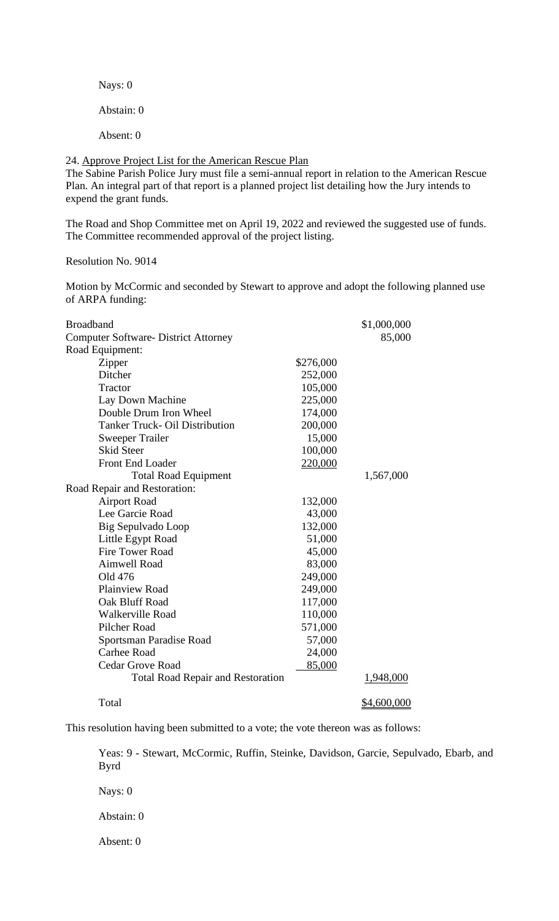Nays: 0

Abstain: 0

Absent: 0

24. Approve Project List for the American Rescue Plan

The Sabine Parish Police Jury must file a semi-annual report in relation to the American Rescue Plan. An integral part of that report is a planned project list detailing how the Jury intends to expend the grant funds.

The Road and Shop Committee met on April 19, 2022 and reviewed the suggested use of funds. The Committee recommended approval of the project listing.

Resolution No. 9014

Motion by McCormic and seconded by Stewart to approve and adopt the following planned use of ARPA funding:

| <b>Broadband</b>                            |           | \$1,000,000 |
|---------------------------------------------|-----------|-------------|
| <b>Computer Software- District Attorney</b> |           | 85,000      |
| Road Equipment:                             |           |             |
| Zipper                                      | \$276,000 |             |
| Ditcher                                     | 252,000   |             |
| Tractor                                     | 105,000   |             |
| Lay Down Machine                            | 225,000   |             |
| Double Drum Iron Wheel                      | 174,000   |             |
| <b>Tanker Truck- Oil Distribution</b>       | 200,000   |             |
| <b>Sweeper Trailer</b>                      | 15,000    |             |
| <b>Skid Steer</b>                           | 100,000   |             |
| Front End Loader                            | 220,000   |             |
| <b>Total Road Equipment</b>                 |           | 1,567,000   |
| Road Repair and Restoration:                |           |             |
| <b>Airport Road</b>                         | 132,000   |             |
| Lee Garcie Road                             | 43,000    |             |
| Big Sepulvado Loop                          | 132,000   |             |
| Little Egypt Road                           | 51,000    |             |
| <b>Fire Tower Road</b>                      | 45,000    |             |
| <b>Aimwell Road</b>                         | 83,000    |             |
| Old 476                                     | 249,000   |             |
| Plainview Road                              | 249,000   |             |
| Oak Bluff Road                              | 117,000   |             |
| <b>Walkerville Road</b>                     | 110,000   |             |
| Pilcher Road                                | 571,000   |             |
| Sportsman Paradise Road                     | 57,000    |             |
| <b>Carhee Road</b>                          | 24,000    |             |
| <b>Cedar Grove Road</b>                     | 85,000    |             |
| <b>Total Road Repair and Restoration</b>    |           | 1,948,000   |
| Total                                       |           | \$4,600,000 |

This resolution having been submitted to a vote; the vote thereon was as follows:

Yeas: 9 - Stewart, McCormic, Ruffin, Steinke, Davidson, Garcie, Sepulvado, Ebarb, and Byrd

Nays: 0

Abstain: 0

Absent: 0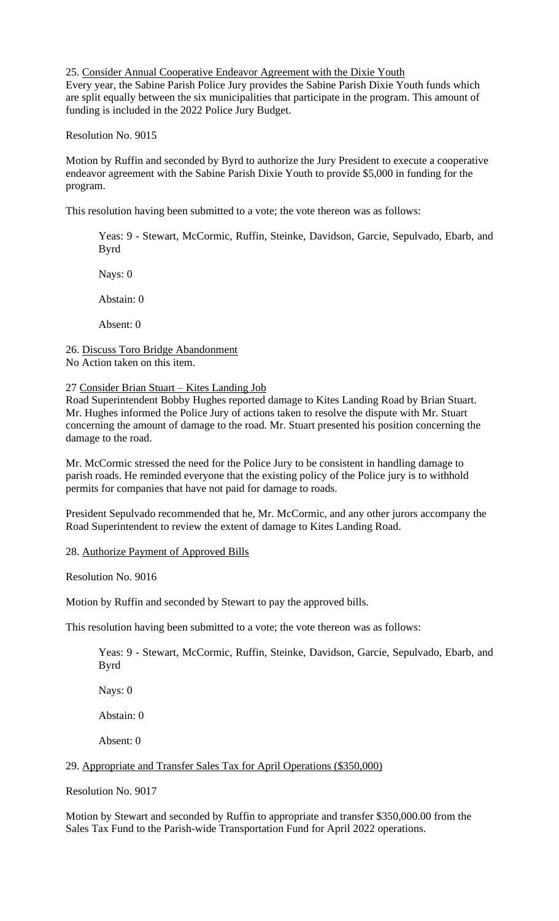#### 25. Consider Annual Cooperative Endeavor Agreement with the Dixie Youth

Every year, the Sabine Parish Police Jury provides the Sabine Parish Dixie Youth funds which are split equally between the six municipalities that participate in the program. This amount of funding is included in the 2022 Police Jury Budget.

Resolution No. 9015

Motion by Ruffin and seconded by Byrd to authorize the Jury President to execute a cooperative endeavor agreement with the Sabine Parish Dixie Youth to provide \$5,000 in funding for the program.

This resolution having been submitted to a vote; the vote thereon was as follows:

Yeas: 9 - Stewart, McCormic, Ruffin, Steinke, Davidson, Garcie, Sepulvado, Ebarb, and Byrd

Nays: 0

Abstain: 0

Absent: 0

26. Discuss Toro Bridge Abandonment No Action taken on this item.

#### 27 Consider Brian Stuart – Kites Landing Job

Road Superintendent Bobby Hughes reported damage to Kites Landing Road by Brian Stuart. Mr. Hughes informed the Police Jury of actions taken to resolve the dispute with Mr. Stuart concerning the amount of damage to the road. Mr. Stuart presented his position concerning the damage to the road.

Mr. McCormic stressed the need for the Police Jury to be consistent in handling damage to parish roads. He reminded everyone that the existing policy of the Police jury is to withhold permits for companies that have not paid for damage to roads.

President Sepulvado recommended that he, Mr. McCormic, and any other jurors accompany the Road Superintendent to review the extent of damage to Kites Landing Road.

#### 28. Authorize Payment of Approved Bills

Resolution No. 9016

Motion by Ruffin and seconded by Stewart to pay the approved bills.

This resolution having been submitted to a vote; the vote thereon was as follows:

Yeas: 9 - Stewart, McCormic, Ruffin, Steinke, Davidson, Garcie, Sepulvado, Ebarb, and Byrd

Nays: 0

Abstain: 0

Absent: 0

# 29. Appropriate and Transfer Sales Tax for April Operations (\$350,000)

Resolution No. 9017

Motion by Stewart and seconded by Ruffin to appropriate and transfer \$350,000.00 from the Sales Tax Fund to the Parish-wide Transportation Fund for April 2022 operations.